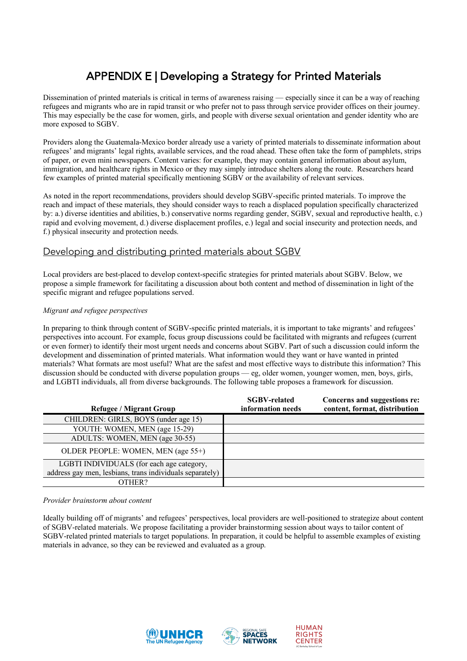## APPENDIX E | Developing a Strategy for Printed Materials

Dissemination of printed materials is critical in terms of awareness raising — especially since it can be a way of reaching refugees and migrants who are in rapid transit or who prefer not to pass through service provider offices on their journey. This may especially be the case for women, girls, and people with diverse sexual orientation and gender identity who are more exposed to SGBV.

Providers along the Guatemala-Mexico border already use a variety of printed materials to disseminate information about refugees' and migrants' legal rights, available services, and the road ahead. These often take the form of pamphlets, strips of paper, or even mini newspapers. Content varies: for example, they may contain general information about asylum, immigration, and healthcare rights in Mexico or they may simply introduce shelters along the route. Researchers heard few examples of printed material specifically mentioning SGBV or the availability of relevant services.

As noted in the report recommendations, providers should develop SGBV-specific printed materials. To improve the reach and impact of these materials, they should consider ways to reach a displaced population specifically characterized by: a.) diverse identities and abilities, b.) conservative norms regarding gender, SGBV, sexual and reproductive health, c.) rapid and evolving movement, d.) diverse displacement profiles, e.) legal and social insecurity and protection needs, and f.) physical insecurity and protection needs.

## Developing and distributing printed materials about SGBV

Local providers are best-placed to develop context-specific strategies for printed materials about SGBV. Below, we propose a simple framework for facilitating a discussion about both content and method of dissemination in light of the specific migrant and refugee populations served.

## *Migrant and refugee perspectives*

In preparing to think through content of SGBV-specific printed materials, it is important to take migrants' and refugees' perspectives into account. For example, focus group discussions could be facilitated with migrants and refugees (current or even former) to identify their most urgent needs and concerns about SGBV. Part of such a discussion could inform the development and dissemination of printed materials. What information would they want or have wanted in printed materials? What formats are most useful? What are the safest and most effective ways to distribute this information? This discussion should be conducted with diverse population groups — eg, older women, younger women, men, boys, girls, and LGBTI individuals, all from diverse backgrounds. The following table proposes a framework for discussion.

| <b>Refugee / Migrant Group</b>                           | <b>SGBV-related</b><br>information needs | Concerns and suggestions re:<br>content, format, distribution |
|----------------------------------------------------------|------------------------------------------|---------------------------------------------------------------|
| CHILDREN: GIRLS, BOYS (under age 15)                     |                                          |                                                               |
| YOUTH: WOMEN, MEN (age 15-29)                            |                                          |                                                               |
| ADULTS: WOMEN, MEN (age 30-55)                           |                                          |                                                               |
| OLDER PEOPLE: WOMEN, MEN (age 55+)                       |                                          |                                                               |
| LGBTI INDIVIDUALS (for each age category,                |                                          |                                                               |
| address gay men, lesbians, trans individuals separately) |                                          |                                                               |
| OTHER?                                                   |                                          |                                                               |

*Provider brainstorm about content*

Ideally building off of migrants' and refugees' perspectives, local providers are well-positioned to strategize about content of SGBV-related materials. We propose facilitating a provider brainstorming session about ways to tailor content of SGBV-related printed materials to target populations. In preparation, it could be helpful to assemble examples of existing materials in advance, so they can be reviewed and evaluated as a group.





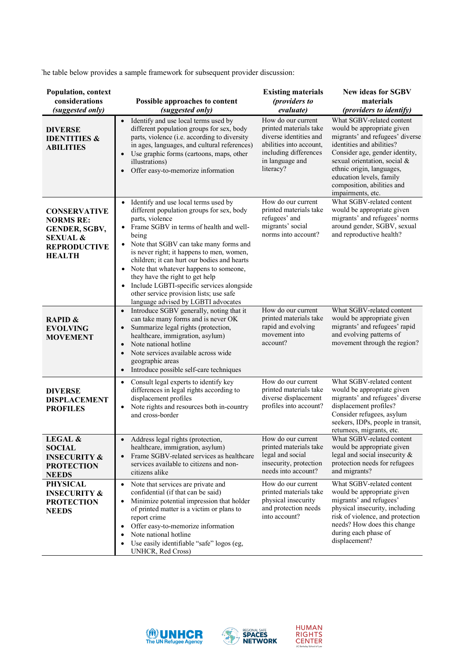The table below provides a sample framework for subsequent provider discussion:

| <b>Population, context</b><br>considerations<br>(suggested only)                                                        | Possible approaches to content<br>(suggested only)                                                                                                                                                                                                                                                                                                                                                                                                                                                                      | <b>Existing materials</b><br>(providers to<br>evaluate)                                                                                                    | <b>New ideas for SGBV</b><br>materials<br>(providers to identify)                                                                                                                                                                                                                                     |
|-------------------------------------------------------------------------------------------------------------------------|-------------------------------------------------------------------------------------------------------------------------------------------------------------------------------------------------------------------------------------------------------------------------------------------------------------------------------------------------------------------------------------------------------------------------------------------------------------------------------------------------------------------------|------------------------------------------------------------------------------------------------------------------------------------------------------------|-------------------------------------------------------------------------------------------------------------------------------------------------------------------------------------------------------------------------------------------------------------------------------------------------------|
| <b>DIVERSE</b><br><b>IDENTITIES &amp;</b><br><b>ABILITIES</b>                                                           | Identify and use local terms used by<br>different population groups for sex, body<br>parts, violence (i.e. according to diversity<br>in ages, languages, and cultural references)<br>Use graphic forms (cartoons, maps, other<br>illustrations)<br>Offer easy-to-memorize information                                                                                                                                                                                                                                   | How do our current<br>printed materials take<br>diverse identities and<br>abilities into account.<br>including differences<br>in language and<br>literacy? | What SGBV-related content<br>would be appropriate given<br>migrants' and refugees' diverse<br>identities and abilities?<br>Consider age, gender identity,<br>sexual orientation, social &<br>ethnic origin, languages,<br>education levels, family<br>composition, abilities and<br>impairments, etc. |
| <b>CONSERVATIVE</b><br><b>NORMS RE:</b><br>GENDER, SGBV,<br><b>SEXUAL &amp;</b><br><b>REPRODUCTIVE</b><br><b>HEALTH</b> | Identify and use local terms used by<br>different population groups for sex, body<br>parts, violence<br>Frame SGBV in terms of health and well-<br>being<br>Note that SGBV can take many forms and<br>$\bullet$<br>is never right; it happens to men, women,<br>children; it can hurt our bodies and hearts<br>Note that whatever happens to someone,<br>they have the right to get help<br>Include LGBTI-specific services alongside<br>other service provision lists; use safe<br>language advised by LGBTI advocates | How do our current<br>printed materials take<br>refugees' and<br>migrants' social<br>norms into account?                                                   | What SGBV-related content<br>would be appropriate given<br>migrants' and refugees' norms<br>around gender, SGBV, sexual<br>and reproductive health?                                                                                                                                                   |
| <b>RAPID &amp;</b><br><b>EVOLVING</b><br><b>MOVEMENT</b>                                                                | Introduce SGBV generally, noting that it<br>can take many forms and is never OK<br>Summarize legal rights (protection,<br>healthcare, immigration, asylum)<br>Note national hotline<br>Note services available across wide<br>geographic areas<br>Introduce possible self-care techniques<br>$\bullet$                                                                                                                                                                                                                  | How do our current<br>printed materials take<br>rapid and evolving<br>movement into<br>account?                                                            | What SGBV-related content<br>would be appropriate given<br>migrants' and refugees' rapid<br>and evolving patterns of<br>movement through the region?                                                                                                                                                  |
| <b>DIVERSE</b><br><b>DISPLACEMENT</b><br><b>PROFILES</b>                                                                | Consult legal experts to identify key<br>$\bullet$<br>differences in legal rights according to<br>displacement profiles<br>Note rights and resources both in-country<br>and cross-border                                                                                                                                                                                                                                                                                                                                | How do our current<br>printed materials take<br>diverse displacement<br>profiles into account?                                                             | What SGBV-related content<br>would be appropriate given<br>migrants' and refugees' diverse<br>displacement profiles?<br>Consider refugees, asylum<br>seekers, IDPs, people in transit,<br>returnees, migrants, etc.                                                                                   |
| <b>LEGAL &amp;</b><br><b>SOCIAL</b><br><b>INSECURITY &amp;</b><br><b>PROTECTION</b><br><b>NEEDS</b>                     | Address legal rights (protection,<br>healthcare, immigration, asylum)<br>Frame SGBV-related services as healthcare<br>$\bullet$<br>services available to citizens and non-<br>citizens alike                                                                                                                                                                                                                                                                                                                            | How do our current<br>printed materials take<br>legal and social<br>insecurity, protection<br>needs into account?                                          | What SGBV-related content<br>would be appropriate given<br>legal and social insecurity $\&$<br>protection needs for refugees<br>and migrants?                                                                                                                                                         |
| <b>PHYSICAL</b><br><b>INSECURITY &amp;</b><br><b>PROTECTION</b><br><b>NEEDS</b>                                         | Note that services are private and<br>$\bullet$<br>confidential (if that can be said)<br>Minimize potential impression that holder<br>of printed matter is a victim or plans to<br>report crime<br>Offer easy-to-memorize information<br>Note national hotline<br>Use easily identifiable "safe" logos (eg,<br>UNHCR, Red Cross)                                                                                                                                                                                        | How do our current<br>printed materials take<br>physical insecurity<br>and protection needs<br>into account?                                               | What SGBV-related content<br>would be appropriate given<br>migrants' and refugees'<br>physical insecurity, including<br>risk of violence, and protection<br>needs? How does this change<br>during each phase of<br>displacement?                                                                      |